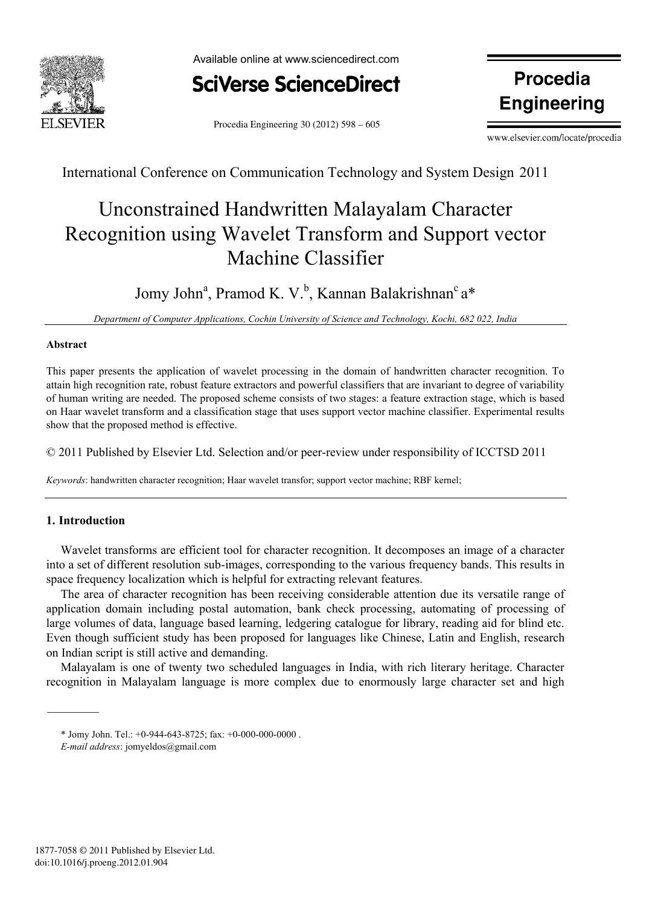



Procedia Engineering 30 (2012) 598 – 605

**Engineering** 

www.elsevier.com/locate/procedia

ww.elsevier.com/locate/procediate/procediate/

International Conference on Communication Technology and System Design 2011

# Unconstrained Handwritten Malayalam Character Recognition using Wavelet Transform and Support vector Machine Classifier

# Jomy John<sup>a</sup>, Pramod K. V.<sup>b</sup>, Kannan Balakrishnan<sup>c</sup>a\*

*Department of Computer Applications, Cochin University of Science and Technology, Kochi, 682 022, India*

# **Abstract**

This paper presents the application of wavelet processing in the domain of handwritten character recognition. To attain high recognition rate, robust feature extractors and powerful classifiers that are invariant to degree of variability of human writing are needed. The proposed scheme consists of two stages: a feature extraction stage, which is based on Haar wavelet transform and a classification stage that uses support vector machine classifier. Experimental results show that the proposed method is effective.

© 2011 Published by Elsevier Ltd. Selection and/or peer-review under responsibility of ICCTSD 2011

*Keywords*: handwritten character recognition; Haar wavelet transfor; support vector machine; RBF kernel;

# **1. Introduction**

Wavelet transforms are efficient tool for character recognition. It decomposes an image of a character into a set of different resolution sub-images, corresponding to the various frequency bands. This results in space frequency localization which is helpful for extracting relevant features.

The area of character recognition has been receiving considerable attention due its versatile range of application domain including postal automation, bank check processing, automating of processing of large volumes of data, language based learning, ledgering catalogue for library, reading aid for blind etc. Even though sufficient study has been proposed for languages like Chinese, Latin and English, research on Indian script is still active and demanding.

Malayalam is one of twenty two scheduled languages in India, with rich literary heritage. Character recognition in Malayalam language is more complex due to enormously large character set and high

<sup>\*</sup> Jomy John. Tel.: +0-944-643-8725; fax: +0-000-000-0000 .

*E-mail address*: jomyeldos@gmail.com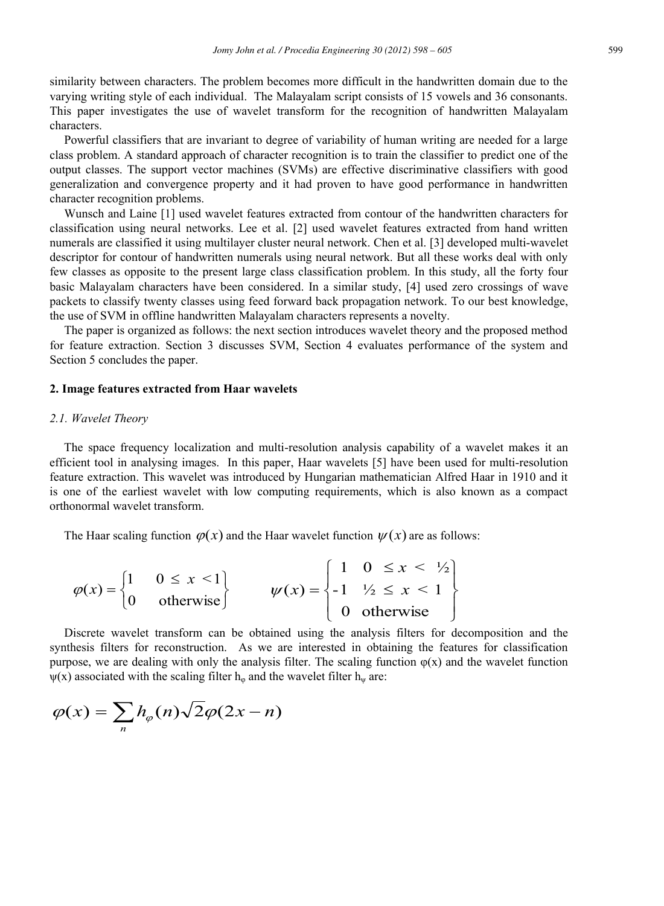similarity between characters. The problem becomes more difficult in the handwritten domain due to the varying writing style of each individual. The Malayalam script consists of 15 vowels and 36 consonants. This paper investigates the use of wavelet transform for the recognition of handwritten Malayalam characters.

Powerful classifiers that are invariant to degree of variability of human writing are needed for a large class problem. A standard approach of character recognition is to train the classifier to predict one of the output classes. The support vector machines (SVMs) are effective discriminative classifiers with good generalization and convergence property and it had proven to have good performance in handwritten character recognition problems.

Wunsch and Laine [1] used wavelet features extracted from contour of the handwritten characters for classification using neural networks. Lee et al. [2] used wavelet features extracted from hand written numerals are classified it using multilayer cluster neural network. Chen et al. [3] developed multi-wavelet descriptor for contour of handwritten numerals using neural network. But all these works deal with only few classes as opposite to the present large class classification problem. In this study, all the forty four basic Malayalam characters have been considered. In a similar study, [4] used zero crossings of wave packets to classify twenty classes using feed forward back propagation network. To our best knowledge, the use of SVM in offline handwritten Malayalam characters represents a novelty.

The paper is organized as follows: the next section introduces wavelet theory and the proposed method for feature extraction. Section 3 discusses SVM, Section 4 evaluates performance of the system and Section 5 concludes the paper.

#### **2. Image features extracted from Haar wavelets**

#### *2.1. Wavelet Theory*

The space frequency localization and multi-resolution analysis capability of a wavelet makes it an efficient tool in analysing images. In this paper, Haar wavelets [5] have been used for multi-resolution feature extraction. This wavelet was introduced by Hungarian mathematician Alfred Haar in 1910 and it is one of the earliest wavelet with low computing requirements, which is also known as a compact orthonormal wavelet transform.

The Haar scaling function  $\varphi(x)$  and the Haar wavelet function  $\psi(x)$  are as follows:

$$
\varphi(x) = \begin{cases} 1 & 0 \le x < 1 \\ 0 & \text{otherwise} \end{cases} \qquad \qquad \psi(x) = \begin{cases} 1 & 0 \le x < \frac{1}{2} \\ -1 & \frac{1}{2} \le x < 1 \\ 0 & \text{otherwise} \end{cases}
$$

Discrete wavelet transform can be obtained using the analysis filters for decomposition and the synthesis filters for reconstruction. As we are interested in obtaining the features for classification purpose, we are dealing with only the analysis filter. The scaling function  $\varphi(x)$  and the wavelet function  $\psi(x)$  associated with the scaling filter h<sub>φ</sub> and the wavelet filter h<sub>ψ</sub> are:

$$
\varphi(x) = \sum_{n} h_{\varphi}(n) \sqrt{2} \varphi(2x - n)
$$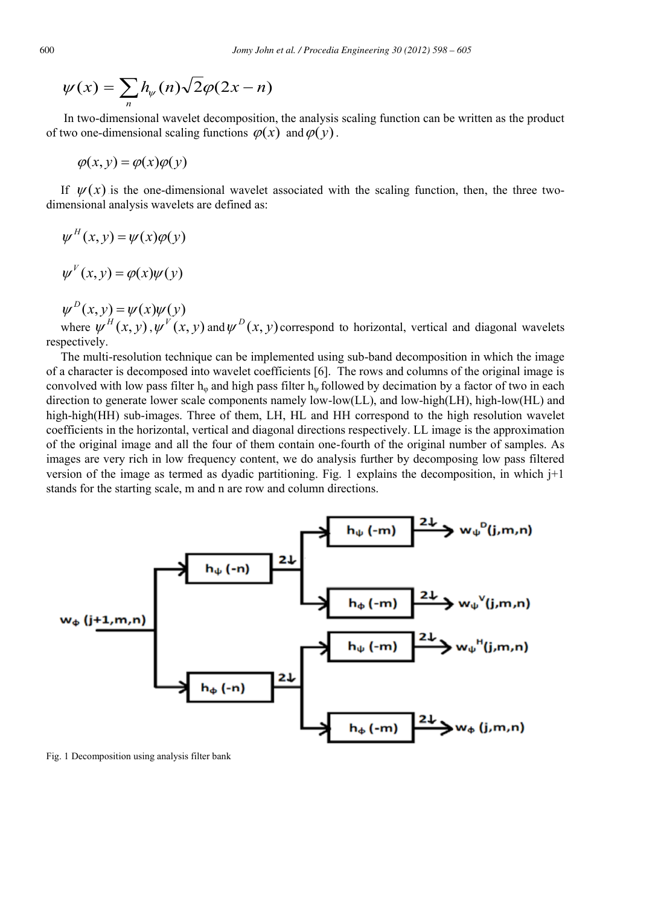$$
\psi(x) = \sum_{n} h_{\psi}(n) \sqrt{2} \varphi(2x - n)
$$

In two-dimensional wavelet decomposition, the analysis scaling function can be written as the product of two one-dimensional scaling functions  $\varphi(x)$  and  $\varphi(y)$ .

$$
\varphi(x, y) = \varphi(x)\varphi(y)
$$

If  $\mathcal{U}(x)$  is the one-dimensional wavelet associated with the scaling function, then, the three twodimensional analysis wavelets are defined as:

$$
\psi^H(x, y) = \psi(x)\phi(y)
$$

$$
\psi^V(x, y) = \phi(x)\psi(y)
$$

 $\psi^{D}(x, y) = \psi(x)\psi(y)$ 

where  $\psi^H(x, y)$ ,  $\psi^V(x, y)$  and  $\psi^D(x, y)$  correspond to horizontal, vertical and diagonal wavelets respectively.

The multi-resolution technique can be implemented using sub-band decomposition in which the image of a character is decomposed into wavelet coefficients [6]. The rows and columns of the original image is convolved with low pass filter  $h_{\psi}$  and high pass filter  $h_{\psi}$  followed by decimation by a factor of two in each direction to generate lower scale components namely low-low(LL), and low-high(LH), high-low(HL) and high-high(HH) sub-images. Three of them, LH, HL and HH correspond to the high resolution wavelet coefficients in the horizontal, vertical and diagonal directions respectively. LL image is the approximation of the original image and all the four of them contain one-fourth of the original number of samples. As images are very rich in low frequency content, we do analysis further by decomposing low pass filtered version of the image as termed as dyadic partitioning. Fig. 1 explains the decomposition, in which j+1 stands for the starting scale, m and n are row and column directions.



Fig. 1 Decomposition using analysis filter bank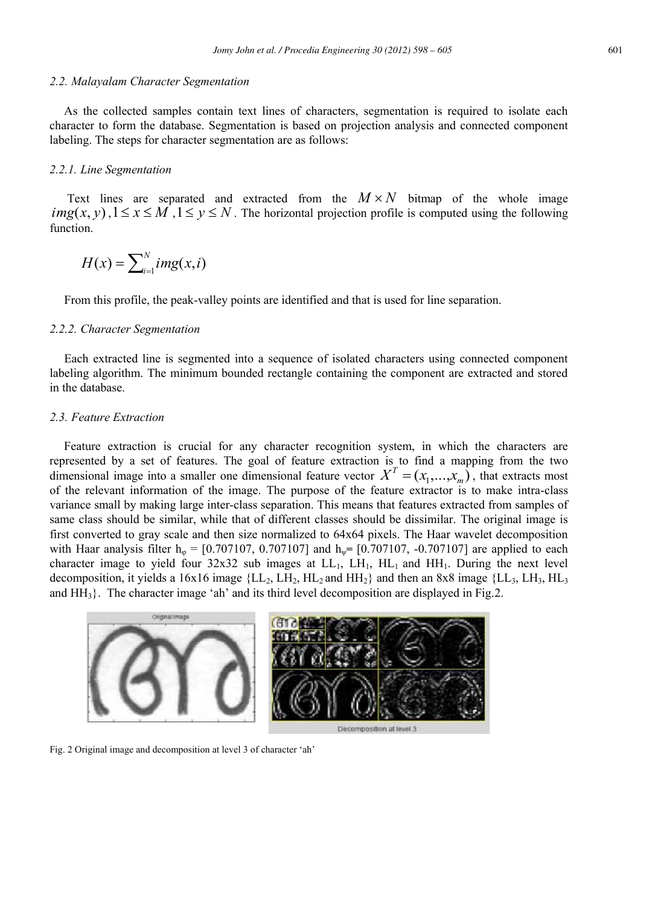#### *2.2. Malayalam Character Segmentation*

As the collected samples contain text lines of characters, segmentation is required to isolate each character to form the database. Segmentation is based on projection analysis and connected component labeling. The steps for character segmentation are as follows:

#### *2.2.1. Line Segmentation*

Text lines are separated and extracted from the  $M \times N$  bitmap of the whole image  $img(x, y)$ ,  $1 \le x \le M$ ,  $1 \le y \le N$ . The horizontal projection profile is computed using the following function.

$$
H(x) = \sum_{i=1}^{N} img(x, i)
$$

From this profile, the peak-valley points are identified and that is used for line separation.

#### *2.2.2. Character Segmentation*

Each extracted line is segmented into a sequence of isolated characters using connected component labeling algorithm. The minimum bounded rectangle containing the component are extracted and stored in the database.

# *2.3. Feature Extraction*

Feature extraction is crucial for any character recognition system, in which the characters are represented by a set of features. The goal of feature extraction is to find a mapping from the two dimensional image into a smaller one dimensional feature vector  $X^T = (x_1, \ldots, x_m)$ , that extracts most of the relevant information of the image. The purpose of the feature extractor is to make intra-class variance small by making large inter-class separation. This means that features extracted from samples of same class should be similar, while that of different classes should be dissimilar. The original image is first converted to gray scale and then size normalized to 64x64 pixels. The Haar wavelet decomposition with Haar analysis filter h<sub>φ</sub> =  $[0.707107, 0.707107]$  and h<sub>ψ</sub> =  $[0.707107, -0.707107]$  are applied to each character image to yield four  $32x32$  sub images at  $LL_1$ ,  $LL_1$ ,  $HL_1$  and  $HH_1$ . During the next level decomposition, it yields a 16x16 image { $LL_2$ ,  $LH_2$ ,  $HL_2$  and  $HH_2$ } and then an 8x8 image { $LL_3$ ,  $LL_3$ ,  $HL_3$ and  $HH<sub>3</sub>$ . The character image 'ah' and its third level decomposition are displayed in Fig.2.



Fig. 2 Original image and decomposition at level 3 of character "ah"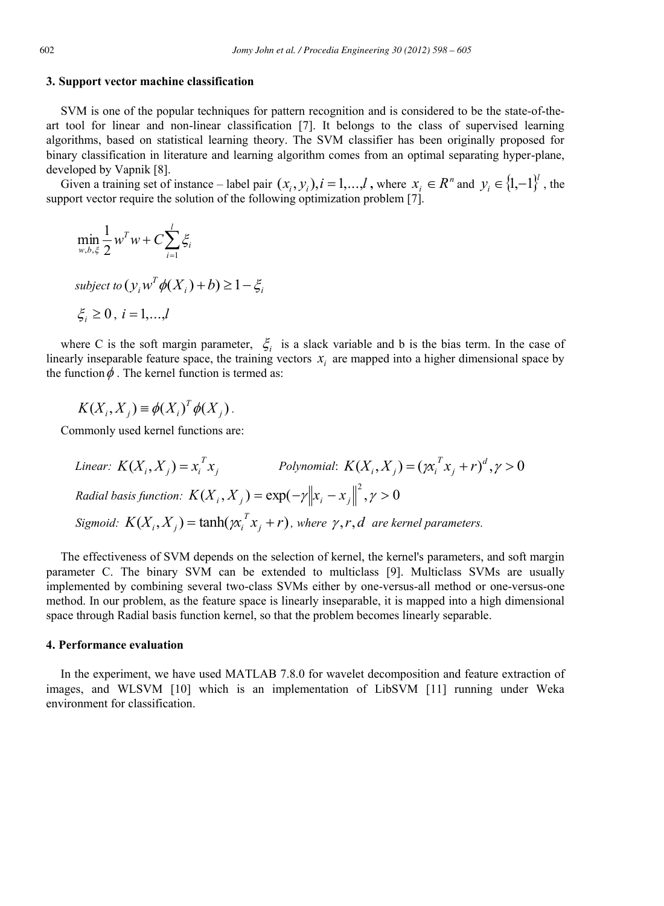#### **3. Support vector machine classification**

SVM is one of the popular techniques for pattern recognition and is considered to be the state-of-theart tool for linear and non-linear classification [7]. It belongs to the class of supervised learning algorithms, based on statistical learning theory. The SVM classifier has been originally proposed for binary classification in literature and learning algorithm comes from an optimal separating hyper-plane, developed by Vapnik [8].

Given a training set of instance – label pair  $(x_i, y_i)$ ,  $i = 1,...,l$ , where  $x_i \in R^n$  and  $y_i \in \{1, -1\}^l$ , the support vector require the solution of the following optimization problem [7].

$$
\min_{w,b,\xi} \frac{1}{2} w^T w + C \sum_{i=1}^l \xi_i
$$
  
subject to  $(y_i w^T \phi(X_i) + b) \ge 1 - \xi_i$   
 $\xi_i \ge 0, i = 1,...,l$ 

where C is the soft margin parameter,  $\zeta_i$  is a slack variable and b is the bias term. In the case of linearly inseparable feature space, the training vectors  $x_i$  are mapped into a higher dimensional space by the function  $\phi$ . The kernel function is termed as:

$$
K(X_i, X_j) = \phi(X_i)^T \phi(X_j).
$$

Commonly used kernel functions are:

*Linear:*  $K(X_i, X_j) = x_i^T x_j$  *Polynomial:*  $K(X_i, X_j) = (\chi_i^T x_j + r)^d, \gamma > 0$  $K(X_i, X_j) = (\chi_i^T x_j + r)$  $R$ adial basis function:  $K(X_i, X_j) = \exp(-\gamma {\left\| {{x_i} - {x_j}} \right\|^2}, \gamma > 0$ *Sigmoid:*  $K(X_i, X_j) = \tanh(\chi_i^T x_j + r)$ , where  $\gamma, r, d$  are kernel parameters.

The effectiveness of SVM depends on the selection of kernel, the kernel's parameters, and soft margin parameter C. The binary SVM can be extended to multiclass [9]. Multiclass SVMs are usually implemented by combining several two-class SVMs either by one-versus-all method or one-versus-one method. In our problem, as the feature space is linearly inseparable, it is mapped into a high dimensional space through Radial basis function kernel, so that the problem becomes linearly separable.

#### **4. Performance evaluation**

In the experiment, we have used MATLAB 7.8.0 for wavelet decomposition and feature extraction of images, and WLSVM [10] which is an implementation of LibSVM [11] running under Weka environment for classification.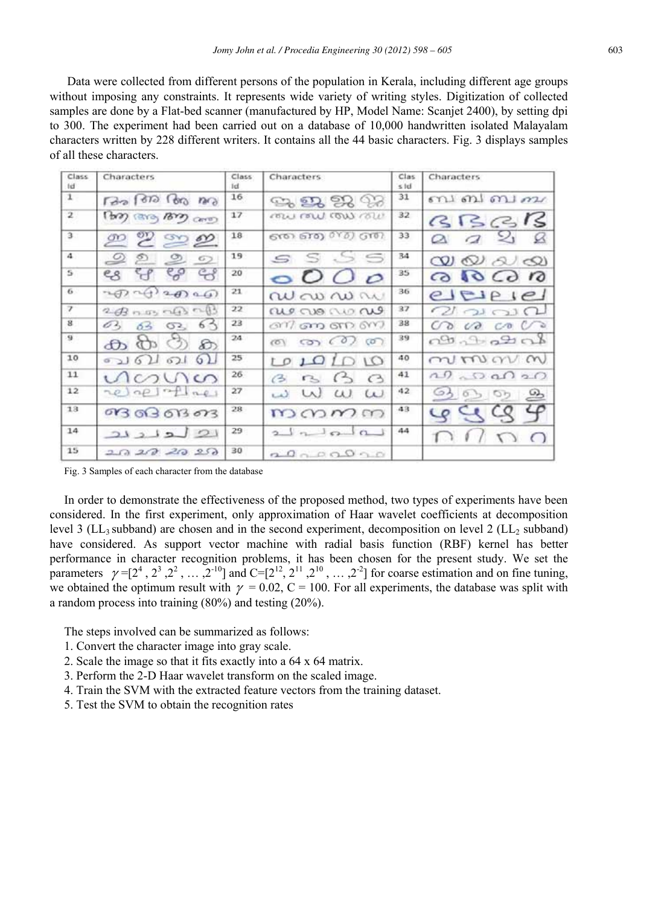Data were collected from different persons of the population in Kerala, including different age groups without imposing any constraints. It represents wide variety of writing styles. Digitization of collected samples are done by a Flat-bed scanner (manufactured by HP, Model Name: Scanjet 2400), by setting dpi to 300. The experiment had been carried out on a database of 10,000 handwritten isolated Malayalam characters written by 228 different writers. It contains all the 44 basic characters. Fig. 3 displays samples of all these characters.

| Class<br>tid            | Characters                               | Class<br>1d | <b>Characters</b>                             | Clas<br>510 | Characters                      |
|-------------------------|------------------------------------------|-------------|-----------------------------------------------|-------------|---------------------------------|
| $\mathbf{1}$            | ran 1000 1000 nm                         | 16          | <b>ಾ ೫</b> ೫ ೫                                | 31          | ബബബഹ                            |
| $\overline{z}$          | (bo) care, Bog care)                     | 17          | cow row cow row                               | 32          | BBBB                            |
| 3                       | <u>ை ஜ ஜ ஜ</u>                           | 18          | 610) 610) 010) G10)                           | 33          | 928<br>$\alpha$                 |
| 4                       | $\circ$<br>$\circ$<br>$\circ$<br>$\circ$ | 19          | S.S S<br>S                                    | 34          | $\omega \otimes \omega \otimes$ |
| $\overline{\mathbf{5}}$ | දී ස<br>ಳ                                | 20          | 0000                                          | 35          | 0.6000                          |
| 6                       |                                          | 21          | au av av av                                   | 36          | eleie                           |
| 7                       | $2 - 13$ nm $-13 - 13$                   | 22          | ale no no no                                  | 37          | 20200                           |
| 8                       | 6 <sup>2</sup><br>62,<br>03 02           | 23          | ണ് ബന്ത സ                                     | 38          | 0000000                         |
| 9                       | $\mathcal{F}$                            | 24          | $\omega$ $\omega$ $\omega$<br>(0)             | 39          | കാകപാക്                         |
| 10                      | 6262162<br>ച                             | 25          | 101010                                        | 40          | mummm                           |
| 11                      | nana                                     | 26          | $\leftrightarrow$<br>$\curvearrowright$<br>C3 | 41          | ഹ ഹ ഹ ഹ                         |
| 12                      | relatives                                | 27          | $\omega \omega$<br>W                          | 42          | <u>தெஞ்சை</u>                   |
| 13                      | 01303013073                              | 28          | mamm                                          | 43          | 99999                           |
| 14                      | 21212                                    | 29          | $2 \sqrt{n}$                                  | 44          | 010                             |
| 15                      | 20202020                                 | 30          | 2000000                                       |             |                                 |

Fig. 3 Samples of each character from the database

In order to demonstrate the effectiveness of the proposed method, two types of experiments have been considered. In the first experiment, only approximation of Haar wavelet coefficients at decomposition level 3 (LL<sub>3</sub> subband) are chosen and in the second experiment, decomposition on level 2 (LL<sub>2</sub> subband) have considered. As support vector machine with radial basis function (RBF) kernel has better performance in character recognition problems, it has been chosen for the present study. We set the parameters  $\gamma = [2^4, 2^3, 2^2, \dots, 2^{-10}]$  and  $C = [2^{12}, 2^{11}, 2^{10}, \dots, 2^{-2}]$  for coarse estimation and on fine tuning, we obtained the optimum result with  $\gamma = 0.02$ , C = 100. For all experiments, the database was split with a random process into training (80%) and testing (20%).

The steps involved can be summarized as follows:

- 1. Convert the character image into gray scale.
- 2. Scale the image so that it fits exactly into a 64 x 64 matrix.
- 3. Perform the 2-D Haar wavelet transform on the scaled image.
- 4. Train the SVM with the extracted feature vectors from the training dataset.
- 5. Test the SVM to obtain the recognition rates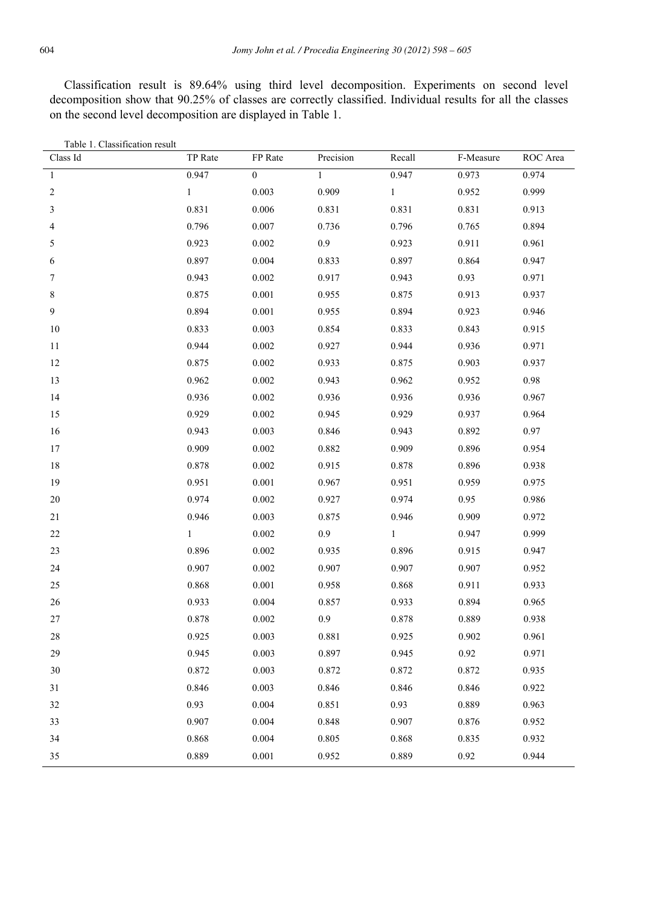Classification result is 89.64% using third level decomposition. Experiments on second level decomposition show that 90.25% of classes are correctly classified. Individual results for all the classes on the second level decomposition are displayed in Table 1.

| Table 1. Classification result |              |                  |              |              |           |          |
|--------------------------------|--------------|------------------|--------------|--------------|-----------|----------|
| Class Id                       | TP Rate      | FP Rate          | Precision    | Recall       | F-Measure | ROC Area |
| $\mathbf{1}$                   | 0.947        | $\boldsymbol{0}$ | $\mathbf{1}$ | 0.947        | 0.973     | 0.974    |
| $\mathbf{2}$                   | $\mathbf{1}$ | 0.003            | 0.909        | $\,1$        | 0.952     | 0.999    |
| $\mathfrak{Z}$                 | 0.831        | 0.006            | 0.831        | 0.831        | 0.831     | 0.913    |
| $\overline{4}$                 | 0.796        | 0.007            | 0.736        | 0.796        | 0.765     | 0.894    |
| 5                              | 0.923        | 0.002            | 0.9          | 0.923        | 0.911     | 0.961    |
| 6                              | 0.897        | 0.004            | 0.833        | 0.897        | 0.864     | 0.947    |
| $\tau$                         | 0.943        | 0.002            | 0.917        | 0.943        | 0.93      | 0.971    |
| $\,$ $\,$                      | 0.875        | 0.001            | 0.955        | 0.875        | 0.913     | 0.937    |
| 9                              | 0.894        | 0.001            | 0.955        | 0.894        | 0.923     | 0.946    |
| $10\,$                         | 0.833        | 0.003            | 0.854        | 0.833        | 0.843     | 0.915    |
| 11                             | 0.944        | 0.002            | 0.927        | 0.944        | 0.936     | 0.971    |
| 12                             | 0.875        | 0.002            | 0.933        | 0.875        | 0.903     | 0.937    |
| 13                             | 0.962        | 0.002            | 0.943        | 0.962        | 0.952     | 0.98     |
| 14                             | 0.936        | 0.002            | 0.936        | 0.936        | 0.936     | 0.967    |
| 15                             | 0.929        | 0.002            | 0.945        | 0.929        | 0.937     | 0.964    |
| 16                             | 0.943        | 0.003            | 0.846        | 0.943        | 0.892     | 0.97     |
| 17                             | 0.909        | 0.002            | 0.882        | 0.909        | 0.896     | 0.954    |
| 18                             | 0.878        | 0.002            | 0.915        | 0.878        | 0.896     | 0.938    |
| 19                             | 0.951        | 0.001            | 0.967        | 0.951        | 0.959     | 0.975    |
| 20                             | 0.974        | 0.002            | 0.927        | 0.974        | 0.95      | 0.986    |
| 21                             | 0.946        | 0.003            | 0.875        | 0.946        | 0.909     | 0.972    |
| $22\,$                         | $\mathbf{1}$ | 0.002            | $0.9\,$      | $\mathbf{1}$ | 0.947     | 0.999    |
| 23                             | 0.896        | 0.002            | 0.935        | 0.896        | 0.915     | 0.947    |
| 24                             | 0.907        | 0.002            | 0.907        | 0.907        | 0.907     | 0.952    |
| $25\,$                         | 0.868        | 0.001            | 0.958        | 0.868        | 0.911     | 0.933    |
| $26\,$                         | 0.933        | 0.004            | 0.857        | 0.933        | 0.894     | 0.965    |
| $27\,$                         | 0.878        | 0.002            | 0.9          | 0.878        | 0.889     | 0.938    |
| 28                             | 0.925        | 0.003            | 0.881        | 0.925        | 0.902     | 0.961    |
| 29                             | 0.945        | 0.003            | 0.897        | 0.945        | 0.92      | 0.971    |
| 30                             | 0.872        | 0.003            | 0.872        | 0.872        | 0.872     | 0.935    |
| 31                             | 0.846        | 0.003            | 0.846        | 0.846        | 0.846     | 0.922    |
| 32                             | 0.93         | 0.004            | 0.851        | 0.93         | 0.889     | 0.963    |
| 33                             | 0.907        | 0.004            | 0.848        | 0.907        | 0.876     | 0.952    |
| 34                             | 0.868        | 0.004            | 0.805        | 0.868        | 0.835     | 0.932    |
| 35                             | 0.889        | 0.001            | 0.952        | 0.889        | 0.92      | 0.944    |